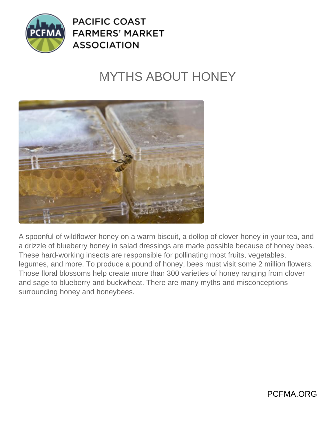

**PACIFIC COAST FARMERS' MARKET ASSOCIATION** 

## MYTHS ABOUT HONEY



A spoonful of wildflower honey on a warm biscuit, a dollop of clover honey in your tea, and a drizzle of blueberry honey in salad dressings are made possible because of honey bees. These hard-working insects are responsible for pollinating most fruits, vegetables, legumes, and more. To produce a pound of honey, bees must visit some 2 million flowers. Those floral blossoms help create more than 300 varieties of honey ranging from clover and sage to blueberry and buckwheat. There are many myths and misconceptions surrounding honey and honeybees.